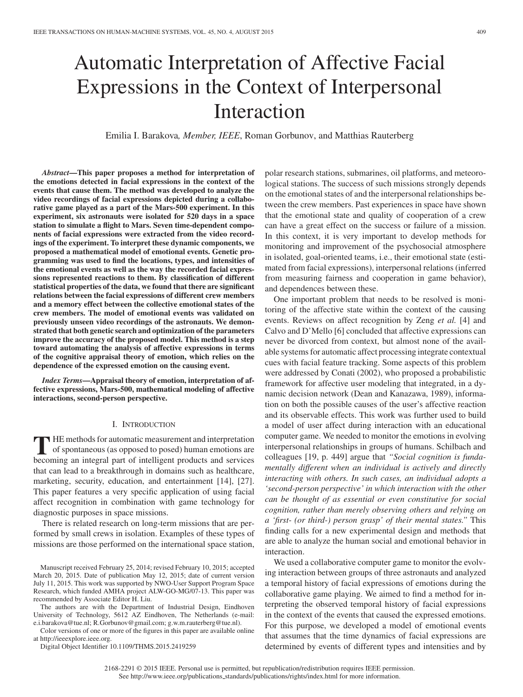# Automatic Interpretation of Affective Facial Expressions in the Context of Interpersonal Interaction

Emilia I. Barakova*, Member, IEEE*, Roman Gorbunov, and Matthias Rauterberg

*Abstract***—This paper proposes a method for interpretation of the emotions detected in facial expressions in the context of the events that cause them. The method was developed to analyze the video recordings of facial expressions depicted during a collaborative game played as a part of the Mars-500 experiment. In this experiment, six astronauts were isolated for 520 days in a space station to simulate a flight to Mars. Seven time-dependent components of facial expressions were extracted from the video recordings of the experiment. To interpret these dynamic components, we proposed a mathematical model of emotional events. Genetic programming was used to find the locations, types, and intensities of the emotional events as well as the way the recorded facial expressions represented reactions to them. By classification of different statistical properties of the data, we found that there are significant relations between the facial expressions of different crew members and a memory effect between the collective emotional states of the crew members. The model of emotional events was validated on previously unseen video recordings of the astronauts. We demonstrated that both genetic search and optimization of the parameters improve the accuracy of the proposed model. This method is a step toward automating the analysis of affective expressions in terms of the cognitive appraisal theory of emotion, which relies on the dependence of the expressed emotion on the causing event.**

*Index Terms***—Appraisal theory of emotion, interpretation of affective expressions, Mars-500, mathematical modeling of affective interactions, second-person perspective.**

## I. INTRODUCTION

**T** HE methods for automatic measurement and interpretation of spontaneous (as opposed to posed) human emotions are becoming an integral part of intelligent products and services becoming an integral part of intelligent products and services that can lead to a breakthrough in domains such as healthcare, marketing, security, education, and entertainment [14], [27]. This paper features a very specific application of using facial affect recognition in combination with game technology for diagnostic purposes in space missions.

There is related research on long-term missions that are performed by small crews in isolation. Examples of these types of missions are those performed on the international space station,

The authors are with the Department of Industrial Design, Eindhoven University of Technology, 5612 AZ Eindhoven, The Netherlands (e-mail: e.i.barakova@tue.nl; R.Gorbunov@gmail.com; g.w.m.rauterberg@tue.nl).

Color versions of one or more of the figures in this paper are available online at http://ieeexplore.ieee.org.

Digital Object Identifier 10.1109/THMS.2015.2419259

polar research stations, submarines, oil platforms, and meteorological stations. The success of such missions strongly depends on the emotional states of and the interpersonal relationships between the crew members. Past experiences in space have shown that the emotional state and quality of cooperation of a crew can have a great effect on the success or failure of a mission. In this context, it is very important to develop methods for monitoring and improvement of the psychosocial atmosphere in isolated, goal-oriented teams, i.e., their emotional state (estimated from facial expressions), interpersonal relations (inferred from measuring fairness and cooperation in game behavior), and dependences between these.

One important problem that needs to be resolved is monitoring of the affective state within the context of the causing events. Reviews on affect recognition by Zeng *et al.* [4] and Calvo and D'Mello [6] concluded that affective expressions can never be divorced from context, but almost none of the available systems for automatic affect processing integrate contextual cues with facial feature tracking. Some aspects of this problem were addressed by Conati (2002), who proposed a probabilistic framework for affective user modeling that integrated, in a dynamic decision network (Dean and Kanazawa, 1989), information on both the possible causes of the user's affective reaction and its observable effects. This work was further used to build a model of user affect during interaction with an educational computer game. We needed to monitor the emotions in evolving interpersonal relationships in groups of humans. Schilbach and colleagues [19, p. 449] argue that *"Social cognition is fundamentally different when an individual is actively and directly interacting with others. In such cases, an individual adopts a 'second-person perspective' in which interaction with the other can be thought of as essential or even constitutive for social cognition, rather than merely observing others and relying on a 'first- (or third-) person grasp' of their mental states."* This finding calls for a new experimental design and methods that are able to analyze the human social and emotional behavior in interaction.

We used a collaborative computer game to monitor the evolving interaction between groups of three astronauts and analyzed a temporal history of facial expressions of emotions during the collaborative game playing. We aimed to find a method for interpreting the observed temporal history of facial expressions in the context of the events that caused the expressed emotions. For this purpose, we developed a model of emotional events that assumes that the time dynamics of facial expressions are determined by events of different types and intensities and by

Manuscript received February 25, 2014; revised February 10, 2015; accepted March 20, 2015. Date of publication May 12, 2015; date of current version July 11, 2015. This work was supported by NWO-User Support Program Space Research, which funded AMHA project ALW-GO-MG/07-13. This paper was recommended by Associate Editor H. Liu.

<sup>2168-2291 © 2015</sup> IEEE. Personal use is permitted, but republication/redistribution requires IEEE permission. See http://www.ieee.org/publications\_standards/publications/rights/index.html for more information.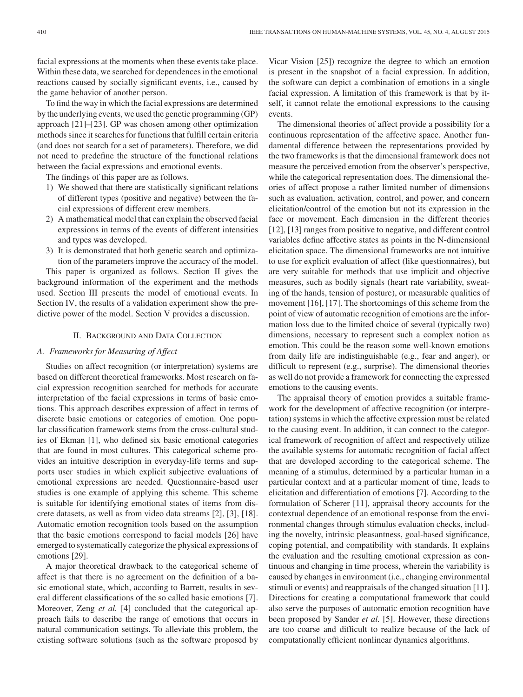facial expressions at the moments when these events take place. Within these data, we searched for dependences in the emotional reactions caused by socially significant events, i.e., caused by the game behavior of another person.

To find the way in which the facial expressions are determined by the underlying events, we used the genetic programming (GP) approach [21]–[23]. GP was chosen among other optimization methods since it searches for functions that fulfill certain criteria (and does not search for a set of parameters). Therefore, we did not need to predefine the structure of the functional relations between the facial expressions and emotional events.

The findings of this paper are as follows.

- 1) We showed that there are statistically significant relations of different types (positive and negative) between the facial expressions of different crew members.
- 2) A mathematical model that can explain the observed facial expressions in terms of the events of different intensities and types was developed.
- 3) It is demonstrated that both genetic search and optimization of the parameters improve the accuracy of the model.

This paper is organized as follows. Section II gives the background information of the experiment and the methods used. Section III presents the model of emotional events. In Section IV, the results of a validation experiment show the predictive power of the model. Section V provides a discussion.

## II. BACKGROUND AND DATA COLLECTION

# *A. Frameworks for Measuring of Affect*

Studies on affect recognition (or interpretation) systems are based on different theoretical frameworks. Most research on facial expression recognition searched for methods for accurate interpretation of the facial expressions in terms of basic emotions. This approach describes expression of affect in terms of discrete basic emotions or categories of emotion. One popular classification framework stems from the cross-cultural studies of Ekman [1], who defined six basic emotional categories that are found in most cultures. This categorical scheme provides an intuitive description in everyday-life terms and supports user studies in which explicit subjective evaluations of emotional expressions are needed. Questionnaire-based user studies is one example of applying this scheme. This scheme is suitable for identifying emotional states of items from discrete datasets, as well as from video data streams [2], [3], [18]. Automatic emotion recognition tools based on the assumption that the basic emotions correspond to facial models [26] have emerged to systematically categorize the physical expressions of emotions [29].

A major theoretical drawback to the categorical scheme of affect is that there is no agreement on the definition of a basic emotional state, which, according to Barrett, results in several different classifications of the so called basic emotions [7]. Moreover, Zeng *et al.* [4] concluded that the categorical approach fails to describe the range of emotions that occurs in natural communication settings. To alleviate this problem, the existing software solutions (such as the software proposed by

Vicar Vision [25]) recognize the degree to which an emotion is present in the snapshot of a facial expression. In addition, the software can depict a combination of emotions in a single facial expression. A limitation of this framework is that by itself, it cannot relate the emotional expressions to the causing events.

The dimensional theories of affect provide a possibility for a continuous representation of the affective space. Another fundamental difference between the representations provided by the two frameworks is that the dimensional framework does not measure the perceived emotion from the observer's perspective, while the categorical representation does. The dimensional theories of affect propose a rather limited number of dimensions such as evaluation, activation, control, and power, and concern elicitation/control of the emotion but not its expression in the face or movement. Each dimension in the different theories [12], [13] ranges from positive to negative, and different control variables define affective states as points in the N-dimensional elicitation space. The dimensional frameworks are not intuitive to use for explicit evaluation of affect (like questionnaires), but are very suitable for methods that use implicit and objective measures, such as bodily signals (heart rate variability, sweating of the hands, tension of posture), or measurable qualities of movement [16], [17]. The shortcomings of this scheme from the point of view of automatic recognition of emotions are the information loss due to the limited choice of several (typically two) dimensions, necessary to represent such a complex notion as emotion. This could be the reason some well-known emotions from daily life are indistinguishable (e.g., fear and anger), or difficult to represent (e.g., surprise). The dimensional theories as well do not provide a framework for connecting the expressed emotions to the causing events.

The appraisal theory of emotion provides a suitable framework for the development of affective recognition (or interpretation) systems in which the affective expression must be related to the causing event. In addition, it can connect to the categorical framework of recognition of affect and respectively utilize the available systems for automatic recognition of facial affect that are developed according to the categorical scheme. The meaning of a stimulus, determined by a particular human in a particular context and at a particular moment of time, leads to elicitation and differentiation of emotions [7]. According to the formulation of Scherer [11], appraisal theory accounts for the contextual dependence of an emotional response from the environmental changes through stimulus evaluation checks, including the novelty, intrinsic pleasantness, goal-based significance, coping potential, and compatibility with standards. It explains the evaluation and the resulting emotional expression as continuous and changing in time process, wherein the variability is caused by changes in environment (i.e., changing environmental stimuli or events) and reappraisals of the changed situation [11]. Directions for creating a computational framework that could also serve the purposes of automatic emotion recognition have been proposed by Sander *et al.* [5]. However, these directions are too coarse and difficult to realize because of the lack of computationally efficient nonlinear dynamics algorithms.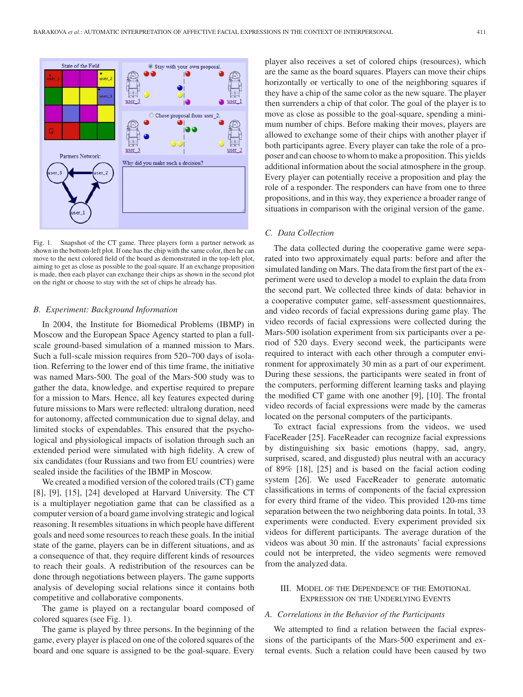

Fig. 1. Snapshot of the CT game. Three players form a partner network as shown in the bottom-left plot. If one has the chip with the same color, then he can move to the next colored field of the board as demonstrated in the top-left plot, aiming to get as close as possible to the goal square. If an exchange proposition is made, then each player can exchange their chips as shown in the second plot on the right or choose to stay with the set of chips he already has.

# *B. Experiment: Background Information*

In 2004, the Institute for Biomedical Problems (IBMP) in Moscow and the European Space Agency started to plan a fullscale ground-based simulation of a manned mission to Mars. Such a full-scale mission requires from 520–700 days of isolation. Referring to the lower end of this time frame, the initiative was named Mars-500. The goal of the Mars-500 study was to gather the data, knowledge, and expertise required to prepare for a mission to Mars. Hence, all key features expected during future missions to Mars were reflected: ultralong duration, need for autonomy, affected communication due to signal delay, and limited stocks of expendables. This ensured that the psychological and physiological impacts of isolation through such an extended period were simulated with high fidelity. A crew of six candidates (four Russians and two from EU countries) were sealed inside the facilities of the IBMP in Moscow.

We created a modified version of the colored trails (CT) game [8], [9], [15], [24] developed at Harvard University. The CT is a multiplayer negotiation game that can be classified as a computer version of a board game involving strategic and logical reasoning. It resembles situations in which people have different goals and need some resources to reach these goals. In the initial state of the game, players can be in different situations, and as a consequence of that, they require different kinds of resources to reach their goals. A redistribution of the resources can be done through negotiations between players. The game supports analysis of developing social relations since it contains both competitive and collaborative components.

The game is played on a rectangular board composed of colored squares (see Fig. 1).

The game is played by three persons. In the beginning of the game, every player is placed on one of the colored squares of the board and one square is assigned to be the goal-square. Every player also receives a set of colored chips (resources), which are the same as the board squares. Players can move their chips horizontally or vertically to one of the neighboring squares if they have a chip of the same color as the new square. The player then surrenders a chip of that color. The goal of the player is to move as close as possible to the goal-square, spending a minimum number of chips. Before making their moves, players are allowed to exchange some of their chips with another player if both participants agree. Every player can take the role of a proposer and can choose to whom to make a proposition. This yields additional information about the social atmosphere in the group. Every player can potentially receive a proposition and play the role of a responder. The responders can have from one to three propositions, and in this way, they experience a broader range of situations in comparison with the original version of the game.

# *C. Data Collection*

The data collected during the cooperative game were separated into two approximately equal parts: before and after the simulated landing on Mars. The data from the first part of the experiment were used to develop a model to explain the data from the second part. We collected three kinds of data: behavior in a cooperative computer game, self-assessment questionnaires, and video records of facial expressions during game play. The video records of facial expressions were collected during the Mars-500 isolation experiment from six participants over a period of 520 days. Every second week, the participants were required to interact with each other through a computer environment for approximately 30 min as a part of our experiment. During these sessions, the participants were seated in front of the computers, performing different learning tasks and playing the modified CT game with one another [9], [10]. The frontal video records of facial expressions were made by the cameras located on the personal computers of the participants.

To extract facial expressions from the videos, we used FaceReader [25]. FaceReader can recognize facial expressions by distinguishing six basic emotions (happy, sad, angry, surprised, scared, and disgusted) plus neutral with an accuracy of 89% [18], [25] and is based on the facial action coding system [26]. We used FaceReader to generate automatic classifications in terms of components of the facial expression for every third frame of the video. This provided 120-ms time separation between the two neighboring data points. In total, 33 experiments were conducted. Every experiment provided six videos for different participants. The average duration of the videos was about 30 min. If the astronauts' facial expressions could not be interpreted, the video segments were removed from the analyzed data.

# III. MODEL OF THE DEPENDENCE OF THE EMOTIONAL EXPRESSION ON THE UNDERLYING EVENTS

## *A. Correlations in the Behavior of the Participants*

We attempted to find a relation between the facial expressions of the participants of the Mars-500 experiment and external events. Such a relation could have been caused by two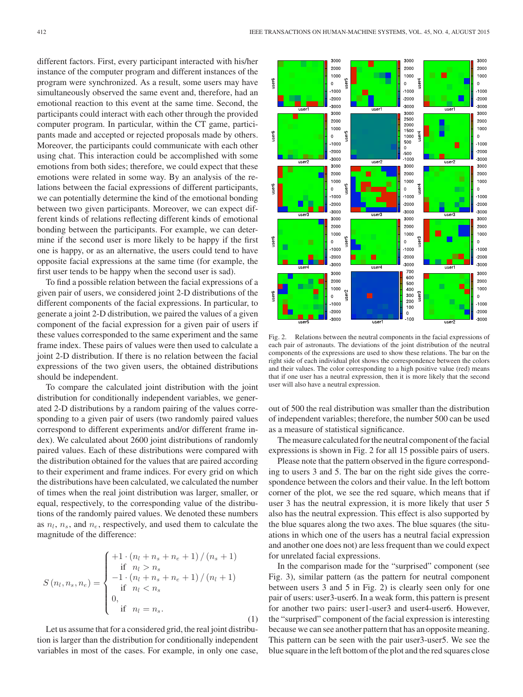different factors. First, every participant interacted with his/her instance of the computer program and different instances of the program were synchronized. As a result, some users may have simultaneously observed the same event and, therefore, had an emotional reaction to this event at the same time. Second, the participants could interact with each other through the provided computer program. In particular, within the CT game, participants made and accepted or rejected proposals made by others. Moreover, the participants could communicate with each other using chat. This interaction could be accomplished with some emotions from both sides; therefore, we could expect that these emotions were related in some way. By an analysis of the relations between the facial expressions of different participants, we can potentially determine the kind of the emotional bonding between two given participants. Moreover, we can expect different kinds of relations reflecting different kinds of emotional bonding between the participants. For example, we can determine if the second user is more likely to be happy if the first one is happy, or as an alternative, the users could tend to have opposite facial expressions at the same time (for example, the first user tends to be happy when the second user is sad).

To find a possible relation between the facial expressions of a given pair of users, we considered joint 2-D distributions of the different components of the facial expressions. In particular, to generate a joint 2-D distribution, we paired the values of a given component of the facial expression for a given pair of users if these values corresponded to the same experiment and the same frame index. These pairs of values were then used to calculate a joint 2-D distribution. If there is no relation between the facial expressions of the two given users, the obtained distributions should be independent.

To compare the calculated joint distribution with the joint distribution for conditionally independent variables, we generated 2-D distributions by a random pairing of the values corresponding to a given pair of users (two randomly paired values correspond to different experiments and/or different frame index). We calculated about 2600 joint distributions of randomly paired values. Each of these distributions were compared with the distribution obtained for the values that are paired according to their experiment and frame indices. For every grid on which the distributions have been calculated, we calculated the number of times when the real joint distribution was larger, smaller, or equal, respectively, to the corresponding value of the distributions of the randomly paired values. We denoted these numbers as  $n_l$ ,  $n_s$ , and  $n_e$ , respectively, and used them to calculate the magnitude of the difference:

$$
S(n_l, n_s, n_e) = \begin{cases} +1 \cdot (n_l + n_s + n_e + 1) / (n_s + 1) \\ \text{if } n_l > n_s \\ -1 \cdot (n_l + n_s + n_e + 1) / (n_l + 1) \\ \text{if } n_l < n_s \\ 0, \\ \text{if } n_l = n_s. \end{cases}
$$
(1)

Let us assume that for a considered grid, the real joint distribution is larger than the distribution for conditionally independent variables in most of the cases. For example, in only one case,



Fig. 2. Relations between the neutral components in the facial expressions of each pair of astronauts. The deviations of the joint distribution of the neutral components of the expressions are used to show these relations. The bar on the right side of each individual plot shows the correspondence between the colors and their values. The color corresponding to a high positive value (red) means that if one user has a neutral expression, then it is more likely that the second user will also have a neutral expression.

out of 500 the real distribution was smaller than the distribution of independent variables; therefore, the number 500 can be used as a measure of statistical significance.

The measure calculated for the neutral component of the facial expressions is shown in Fig. 2 for all 15 possible pairs of users.

Please note that the pattern observed in the figure corresponding to users 3 and 5. The bar on the right side gives the correspondence between the colors and their value. In the left bottom corner of the plot, we see the red square, which means that if user 3 has the neutral expression, it is more likely that user 5 also has the neutral expression. This effect is also supported by the blue squares along the two axes. The blue squares (the situations in which one of the users has a neutral facial expression and another one does not) are less frequent than we could expect for unrelated facial expressions.

In the comparison made for the "surprised" component (see Fig. 3), similar pattern (as the pattern for neutral component between users 3 and 5 in Fig. 2) is clearly seen only for one pair of users: user3-user6. In a weak form, this pattern is present for another two pairs: user1-user3 and user4-user6. However, the "surprised" component of the facial expression is interesting because we can see another pattern that has an opposite meaning. This pattern can be seen with the pair user3-user5. We see the blue square in the left bottom of the plot and the red squares close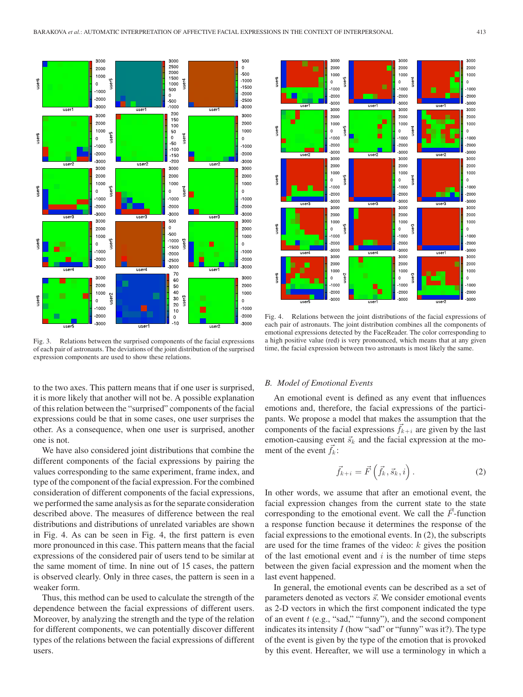

Fig. 3. Relations between the surprised components of the facial expressions of each pair of astronauts. The deviations of the joint distribution of the surprised expression components are used to show these relations.

to the two axes. This pattern means that if one user is surprised, it is more likely that another will not be. A possible explanation of this relation between the "surprised" components of the facial expressions could be that in some cases, one user surprises the other. As a consequence, when one user is surprised, another one is not.

We have also considered joint distributions that combine the different components of the facial expressions by pairing the values corresponding to the same experiment, frame index, and type of the component of the facial expression. For the combined consideration of different components of the facial expressions, we performed the same analysis as for the separate consideration described above. The measures of difference between the real distributions and distributions of unrelated variables are shown in Fig. 4. As can be seen in Fig. 4, the first pattern is even more pronounced in this case. This pattern means that the facial expressions of the considered pair of users tend to be similar at the same moment of time. In nine out of 15 cases, the pattern is observed clearly. Only in three cases, the pattern is seen in a weaker form.

Thus, this method can be used to calculate the strength of the dependence between the facial expressions of different users. Moreover, by analyzing the strength and the type of the relation for different components, we can potentially discover different types of the relations between the facial expressions of different users.



Fig. 4. Relations between the joint distributions of the facial expressions of each pair of astronauts. The joint distribution combines all the components of emotional expressions detected by the FaceReader. The color corresponding to a high positive value (red) is very pronounced, which means that at any given time, the facial expression between two astronauts is most likely the same.

# *B. Model of Emotional Events*

An emotional event is defined as any event that influences emotions and, therefore, the facial expressions of the participants. We propose a model that makes the assumption that the components of the facial expressions  $\vec{f}_{k+i}$  are given by the last emotion-causing event  $\vec{s}_k$  and the facial expression at the moment of the event  $\vec{f}_k$ :

$$
\vec{f}_{k+i} = \vec{F}\left(\vec{f}_k, \vec{s}_k, i\right). \tag{2}
$$

In other words, we assume that after an emotional event, the facial expression changes from the current state to the state corresponding to the emotional event. We call the  $\vec{F}$ -function a response function because it determines the response of the facial expressions to the emotional events. In (2), the subscripts are used for the time frames of the video:  $k$  gives the position of the last emotional event and  $i$  is the number of time steps between the given facial expression and the moment when the last event happened.

In general, the emotional events can be described as a set of parameters denoted as vectors  $\vec{s}$ . We consider emotional events as 2-D vectors in which the first component indicated the type of an event  $t$  (e.g., "sad," "funny"), and the second component indicates its intensity  $I$  (how "sad" or "funny" was it?). The type of the event is given by the type of the emotion that is provoked by this event. Hereafter, we will use a terminology in which a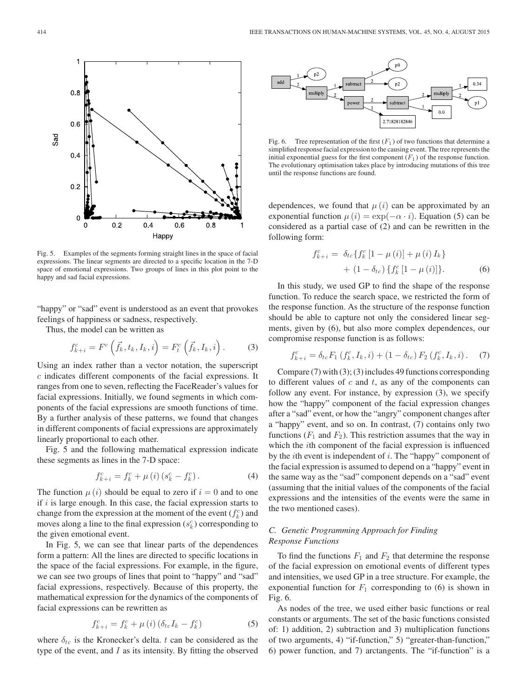

Fig. 5. Examples of the segments forming straight lines in the space of facial expressions. The linear segments are directed to a specific location in the 7-D space of emotional expressions. Two groups of lines in this plot point to the happy and sad facial expressions.

"happy" or "sad" event is understood as an event that provokes feelings of happiness or sadness, respectively.

Thus, the model can be written as

$$
f_{k+i}^c = F^c \left( \vec{f}_k, t_k, I_k, i \right) = F_t^c \left( \vec{f}_k, I_k, i \right).
$$
 (3)

Using an index rather than a vector notation, the superscript c indicates different components of the facial expressions. It ranges from one to seven, reflecting the FaceReader's values for facial expressions. Initially, we found segments in which components of the facial expressions are smooth functions of time. By a further analysis of these patterns, we found that changes in different components of facial expressions are approximately linearly proportional to each other.

Fig. 5 and the following mathematical expression indicate these segments as lines in the 7-D space:

$$
f_{k+i}^c = f_k^c + \mu(i) (s_k^c - f_k^c).
$$
 (4)

The function  $\mu(i)$  should be equal to zero if  $i = 0$  and to one if  $i$  is large enough. In this case, the facial expression starts to change from the expression at the moment of the event  $(f_k^c)$  and moves along a line to the final expression  $(s_k^c)$  corresponding to the given emotional event.

In Fig. 5, we can see that linear parts of the dependences form a pattern: All the lines are directed to specific locations in the space of the facial expressions. For example, in the figure, we can see two groups of lines that point to "happy" and "sad" facial expressions, respectively. Because of this property, the mathematical expression for the dynamics of the components of facial expressions can be rewritten as

$$
f_{k+i}^c = f_k^c + \mu(i) \left( \delta_{tc} I_k - f_k^c \right) \tag{5}
$$

where  $\delta_{tc}$  is the Kronecker's delta. t can be considered as the type of the event, and  $I$  as its intensity. By fitting the observed



Fig. 6. Tree representation of the first  $(F_1)$  of two functions that determine a simplified response facial expression to the causing event. The tree represents the initial exponential guess for the first component  $(F_1)$  of the response function. The evolutionary optimisation takes place by introducing mutations of this tree until the response functions are found.

dependences, we found that  $\mu(i)$  can be approximated by an exponential function  $\mu(i) = \exp(-\alpha \cdot i)$ . Equation (5) can be considered as a partial case of (2) and can be rewritten in the following form:

$$
f_{k+i}^c = \delta_{tc} \{ f_k^c \left[ 1 - \mu(i) \right] + \mu(i) I_k \} + \left( 1 - \delta_{tc} \right) \{ f_k^c \left[ 1 - \mu(i) \right] \}.
$$
 (6)

In this study, we used GP to find the shape of the response function. To reduce the search space, we restricted the form of the response function. As the structure of the response function should be able to capture not only the considered linear segments, given by (6), but also more complex dependences, our compromise response function is as follows:

$$
f_{k+i}^c = \delta_{tc} F_1(f_k^c, I_k, i) + (1 - \delta_{tc}) F_2(f_k^c, I_k, i).
$$
 (7)

Compare (7) with (3); (3) includes 49 functions corresponding to different values of  $c$  and  $t$ , as any of the components can follow any event. For instance, by expression (3), we specify how the "happy" component of the facial expression changes after a "sad" event, or how the "angry" component changes after a "happy" event, and so on. In contrast, (7) contains only two functions ( $F_1$  and  $F_2$ ). This restriction assumes that the way in which the *i*th component of the facial expression is influenced by the *i*th event is independent of  $i$ . The "happy" component of the facial expression is assumed to depend on a "happy" event in the same way as the "sad" component depends on a "sad" event (assuming that the initial values of the components of the facial expressions and the intensities of the events were the same in the two mentioned cases).

# *C. Genetic Programming Approach for Finding Response Functions*

To find the functions  $F_1$  and  $F_2$  that determine the response of the facial expression on emotional events of different types and intensities, we used GP in a tree structure. For example, the exponential function for  $F_1$  corresponding to (6) is shown in Fig. 6.

As nodes of the tree, we used either basic functions or real constants or arguments. The set of the basic functions consisted of: 1) addition, 2) subtraction and 3) multiplication functions of two arguments, 4) "if-function," 5) "greater-than-function," 6) power function, and 7) arctangents. The "if-function" is a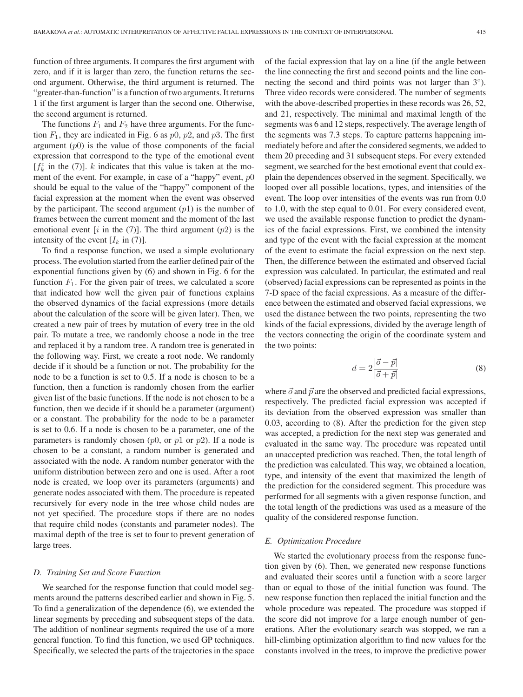function of three arguments. It compares the first argument with zero, and if it is larger than zero, the function returns the second argument. Otherwise, the third argument is returned. The "greater-than-function" is a function of two arguments. It returns 1 if the first argument is larger than the second one. Otherwise, the second argument is returned.

The functions  $F_1$  and  $F_2$  have three arguments. For the function  $F_1$ , they are indicated in Fig. 6 as  $p_1$ ,  $p_2$ , and  $p_3$ . The first argument  $(p0)$  is the value of those components of the facial expression that correspond to the type of the emotional event  $[f_k^c]$  in the (7)]. k indicates that this value is taken at the moment of the event. For example, in case of a "happy" event,  $p0$ should be equal to the value of the "happy" component of the facial expression at the moment when the event was observed by the participant. The second argument  $(p1)$  is the number of frames between the current moment and the moment of the last emotional event [i in the  $(7)$ ]. The third argument  $(p2)$  is the intensity of the event  $[I_k \text{ in (7)}].$ 

To find a response function, we used a simple evolutionary process. The evolution started from the earlier defined pair of the exponential functions given by (6) and shown in Fig. 6 for the function  $F_1$ . For the given pair of trees, we calculated a score that indicated how well the given pair of functions explains the observed dynamics of the facial expressions (more details about the calculation of the score will be given later). Then, we created a new pair of trees by mutation of every tree in the old pair. To mutate a tree, we randomly choose a node in the tree and replaced it by a random tree. A random tree is generated in the following way. First, we create a root node. We randomly decide if it should be a function or not. The probability for the node to be a function is set to 0.5. If a node is chosen to be a function, then a function is randomly chosen from the earlier given list of the basic functions. If the node is not chosen to be a function, then we decide if it should be a parameter (argument) or a constant. The probability for the node to be a parameter is set to 0.6. If a node is chosen to be a parameter, one of the parameters is randomly chosen  $(p0,$  or  $p1$  or  $p2$ ). If a node is chosen to be a constant, a random number is generated and associated with the node. A random number generator with the uniform distribution between zero and one is used. After a root node is created, we loop over its parameters (arguments) and generate nodes associated with them. The procedure is repeated recursively for every node in the tree whose child nodes are not yet specified. The procedure stops if there are no nodes that require child nodes (constants and parameter nodes). The maximal depth of the tree is set to four to prevent generation of large trees.

#### *D. Training Set and Score Function*

We searched for the response function that could model segments around the patterns described earlier and shown in Fig. 5. To find a generalization of the dependence (6), we extended the linear segments by preceding and subsequent steps of the data. The addition of nonlinear segments required the use of a more general function. To find this function, we used GP techniques. Specifically, we selected the parts of the trajectories in the space of the facial expression that lay on a line (if the angle between the line connecting the first and second points and the line connecting the second and third points was not larger than 3<sup>°</sup>). Three video records were considered. The number of segments with the above-described properties in these records was 26, 52, and 21, respectively. The minimal and maximal length of the segments was 6 and 12 steps, respectively. The average length of the segments was 7.3 steps. To capture patterns happening immediately before and after the considered segments, we added to them 20 preceding and 31 subsequent steps. For every extended segment, we searched for the best emotional event that could explain the dependences observed in the segment. Specifically, we looped over all possible locations, types, and intensities of the event. The loop over intensities of the events was run from 0.0 to 1.0, with the step equal to 0.01. For every considered event, we used the available response function to predict the dynamics of the facial expressions. First, we combined the intensity and type of the event with the facial expression at the moment of the event to estimate the facial expression on the next step. Then, the difference between the estimated and observed facial expression was calculated. In particular, the estimated and real (observed) facial expressions can be represented as points in the 7-D space of the facial expressions. As a measure of the difference between the estimated and observed facial expressions, we used the distance between the two points, representing the two kinds of the facial expressions, divided by the average length of the vectors connecting the origin of the coordinate system and the two points:

$$
d = 2\frac{|\vec{o} - \vec{p}|}{|\vec{o} + \vec{p}|} \tag{8}
$$

where  $\vec{o}$  and  $\vec{p}$  are the observed and predicted facial expressions, respectively. The predicted facial expression was accepted if its deviation from the observed expression was smaller than 0.03, according to (8). After the prediction for the given step was accepted, a prediction for the next step was generated and evaluated in the same way. The procedure was repeated until an unaccepted prediction was reached. Then, the total length of the prediction was calculated. This way, we obtained a location, type, and intensity of the event that maximized the length of the prediction for the considered segment. This procedure was performed for all segments with a given response function, and the total length of the predictions was used as a measure of the quality of the considered response function.

## *E. Optimization Procedure*

We started the evolutionary process from the response function given by (6). Then, we generated new response functions and evaluated their scores until a function with a score larger than or equal to those of the initial function was found. The new response function then replaced the initial function and the whole procedure was repeated. The procedure was stopped if the score did not improve for a large enough number of generations. After the evolutionary search was stopped, we ran a hill-climbing optimization algorithm to find new values for the constants involved in the trees, to improve the predictive power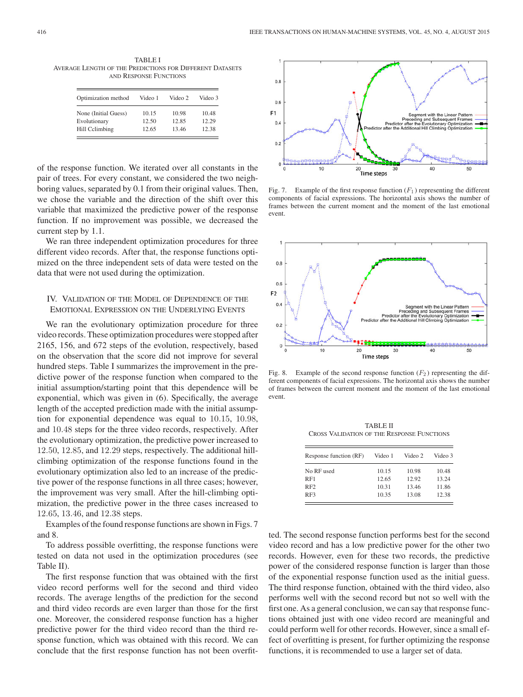TABLE I AVERAGE LENGTH OF THE PREDICTIONS FOR DIFFERENT DATASETS AND RESPONSE FUNCTIONS

| Optimization method  | Video 1 | Video 2 | Video 3 |
|----------------------|---------|---------|---------|
| None (Initial Guess) | 10.15   | 10.98   | 10.48   |
| Evolutionary         | 12.50   | 12.85   | 12.29   |
| Hill Cclimbing       | 12.65   | 13.46   | 12.38   |

of the response function. We iterated over all constants in the pair of trees. For every constant, we considered the two neighboring values, separated by 0.1 from their original values. Then, we chose the variable and the direction of the shift over this variable that maximized the predictive power of the response function. If no improvement was possible, we decreased the current step by 1.1.

We ran three independent optimization procedures for three different video records. After that, the response functions optimized on the three independent sets of data were tested on the data that were not used during the optimization.

# IV. VALIDATION OF THE MODEL OF DEPENDENCE OF THE EMOTIONAL EXPRESSION ON THE UNDERLYING EVENTS

We ran the evolutionary optimization procedure for three video records. These optimization procedures were stopped after 2165, 156, and 672 steps of the evolution, respectively, based on the observation that the score did not improve for several hundred steps. Table I summarizes the improvement in the predictive power of the response function when compared to the initial assumption/starting point that this dependence will be exponential, which was given in (6). Specifically, the average length of the accepted prediction made with the initial assumption for exponential dependence was equal to 10.15, 10.98, and 10.48 steps for the three video records, respectively. After the evolutionary optimization, the predictive power increased to 12.50, 12.85, and 12.29 steps, respectively. The additional hillclimbing optimization of the response functions found in the evolutionary optimization also led to an increase of the predictive power of the response functions in all three cases; however, the improvement was very small. After the hill-climbing optimization, the predictive power in the three cases increased to 12.65, 13.46, and 12.38 steps.

Examples of the found response functions are shown in Figs. 7 and 8.

To address possible overfitting, the response functions were tested on data not used in the optimization procedures (see Table II).

The first response function that was obtained with the first video record performs well for the second and third video records. The average lengths of the prediction for the second and third video records are even larger than those for the first one. Moreover, the considered response function has a higher predictive power for the third video record than the third response function, which was obtained with this record. We can conclude that the first response function has not been overfit-



Fig. 7. Example of the first response function  $(F_1)$  representing the different components of facial expressions. The horizontal axis shows the number of frames between the current moment and the moment of the last emotional event.



Fig. 8. Example of the second response function  $(F_2)$  representing the different components of facial expressions. The horizontal axis shows the number of frames between the current moment and the moment of the last emotional event.

TABLE II CROSS VALIDATION OF THE RESPONSE FUNCTIONS

| Response function (RF) | Video 1 | Video 2 | Video 3 |
|------------------------|---------|---------|---------|
| No RF used             | 10.15   | 10.98   | 10.48   |
| RF1                    | 12.65   | 12.92   | 13.24   |
| RF <sub>2</sub>        | 10.31   | 13.46   | 11.86   |
| RF3                    | 10.35   | 13.08   | 12.38   |

ted. The second response function performs best for the second video record and has a low predictive power for the other two records. However, even for these two records, the predictive power of the considered response function is larger than those of the exponential response function used as the initial guess. The third response function, obtained with the third video, also performs well with the second record but not so well with the first one. As a general conclusion, we can say that response functions obtained just with one video record are meaningful and could perform well for other records. However, since a small effect of overfitting is present, for further optimizing the response functions, it is recommended to use a larger set of data.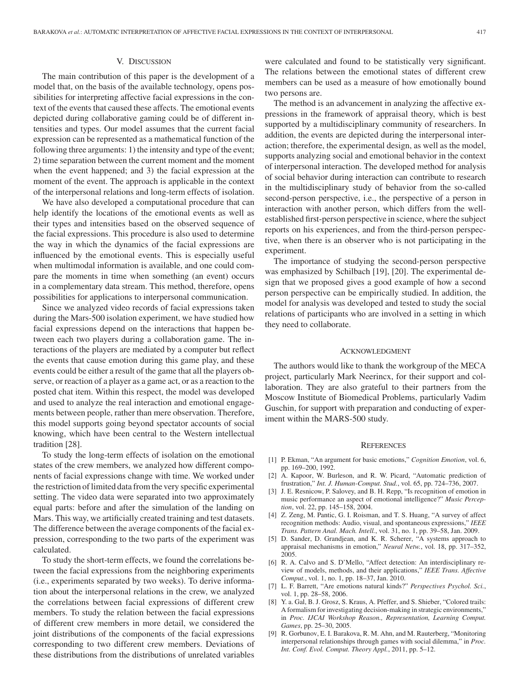## V. DISCUSSION

The main contribution of this paper is the development of a model that, on the basis of the available technology, opens possibilities for interpreting affective facial expressions in the context of the events that caused these affects. The emotional events depicted during collaborative gaming could be of different intensities and types. Our model assumes that the current facial expression can be represented as a mathematical function of the following three arguments: 1) the intensity and type of the event; 2) time separation between the current moment and the moment when the event happened; and 3) the facial expression at the moment of the event. The approach is applicable in the context of the interpersonal relations and long-term effects of isolation.

We have also developed a computational procedure that can help identify the locations of the emotional events as well as their types and intensities based on the observed sequence of the facial expressions. This procedure is also used to determine the way in which the dynamics of the facial expressions are influenced by the emotional events. This is especially useful when multimodal information is available, and one could compare the moments in time when something (an event) occurs in a complementary data stream. This method, therefore, opens possibilities for applications to interpersonal communication.

Since we analyzed video records of facial expressions taken during the Mars-500 isolation experiment, we have studied how facial expressions depend on the interactions that happen between each two players during a collaboration game. The interactions of the players are mediated by a computer but reflect the events that cause emotion during this game play, and these events could be either a result of the game that all the players observe, or reaction of a player as a game act, or as a reaction to the posted chat item. Within this respect, the model was developed and used to analyze the real interaction and emotional engagements between people, rather than mere observation. Therefore, this model supports going beyond spectator accounts of social knowing, which have been central to the Western intellectual tradition [28].

To study the long-term effects of isolation on the emotional states of the crew members, we analyzed how different components of facial expressions change with time. We worked under the restriction of limited data from the very specific experimental setting. The video data were separated into two approximately equal parts: before and after the simulation of the landing on Mars. This way, we artificially created training and test datasets. The difference between the average components of the facial expression, corresponding to the two parts of the experiment was calculated.

To study the short-term effects, we found the correlations between the facial expressions from the neighboring experiments (i.e., experiments separated by two weeks). To derive information about the interpersonal relations in the crew, we analyzed the correlations between facial expressions of different crew members. To study the relation between the facial expressions of different crew members in more detail, we considered the joint distributions of the components of the facial expressions corresponding to two different crew members. Deviations of these distributions from the distributions of unrelated variables

were calculated and found to be statistically very significant. The relations between the emotional states of different crew members can be used as a measure of how emotionally bound two persons are.

The method is an advancement in analyzing the affective expressions in the framework of appraisal theory, which is best supported by a multidisciplinary community of researchers. In addition, the events are depicted during the interpersonal interaction; therefore, the experimental design, as well as the model, supports analyzing social and emotional behavior in the context of interpersonal interaction. The developed method for analysis of social behavior during interaction can contribute to research in the multidisciplinary study of behavior from the so-called second-person perspective, i.e., the perspective of a person in interaction with another person, which differs from the wellestablished first-person perspective in science, where the subject reports on his experiences, and from the third-person perspective, when there is an observer who is not participating in the experiment.

The importance of studying the second-person perspective was emphasized by Schilbach [19], [20]. The experimental design that we proposed gives a good example of how a second person perspective can be empirically studied. In addition, the model for analysis was developed and tested to study the social relations of participants who are involved in a setting in which they need to collaborate.

## ACKNOWLEDGMENT

The authors would like to thank the workgroup of the MECA project, particularly Mark Neerincx, for their support and collaboration. They are also grateful to their partners from the Moscow Institute of Biomedical Problems, particularly Vadim Guschin, for support with preparation and conducting of experiment within the MARS-500 study.

#### **REFERENCES**

- [1] P. Ekman, "An argument for basic emotions," *Cognition Emotion*, vol. 6, pp. 169–200, 1992.
- [2] A. Kapoor, W. Burleson, and R. W. Picard, "Automatic prediction of frustration," *Int. J. Human-Comput. Stud.*, vol. 65, pp. 724–736, 2007.
- [3] J. E. Resnicow, P. Salovey, and B. H. Repp, "Is recognition of emotion in music performance an aspect of emotional intelligence?" *Music Perception*, vol. 22, pp. 145–158, 2004.
- [4] Z. Zeng, M. Pantic, G. I. Roisman, and T. S. Huang, "A survey of affect recognition methods: Audio, visual, and spontaneous expressions," *IEEE Trans. Pattern Anal. Mach. Intell.*, vol. 31, no. 1, pp. 39–58, Jan. 2009.
- [5] D. Sander, D. Grandjean, and K. R. Scherer, "A systems approach to appraisal mechanisms in emotion," *Neural Netw.*, vol. 18, pp. 317–352, 2005.
- [6] R. A. Calvo and S. D'Mello, "Affect detection: An interdisciplinary review of models, methods, and their applications," *IEEE Trans. Affective Comput.*, vol. 1, no. 1, pp. 18–37, Jan. 2010.
- [7] L. F. Barrett, "Are emotions natural kinds?" *Perspectives Psychol. Sci.*, vol. 1, pp. 28–58, 2006.
- [8] Y. a. Gal, B. J. Grosz, S. Kraus, A. Pfeffer, and S. Shieber, "Colored trails: A formalism for investigating decision-making in strategic environments," in *Proc. IJCAI Workshop Reason., Representation, Learning Comput. Games*, pp. 25–30, 2005.
- [9] R. Gorbunov, E. I. Barakova, R. M. Ahn, and M. Rauterberg, "Monitoring interpersonal relationships through games with social dilemma," in *Proc. Int. Conf. Evol. Comput. Theory Appl.*, 2011, pp. 5–12.